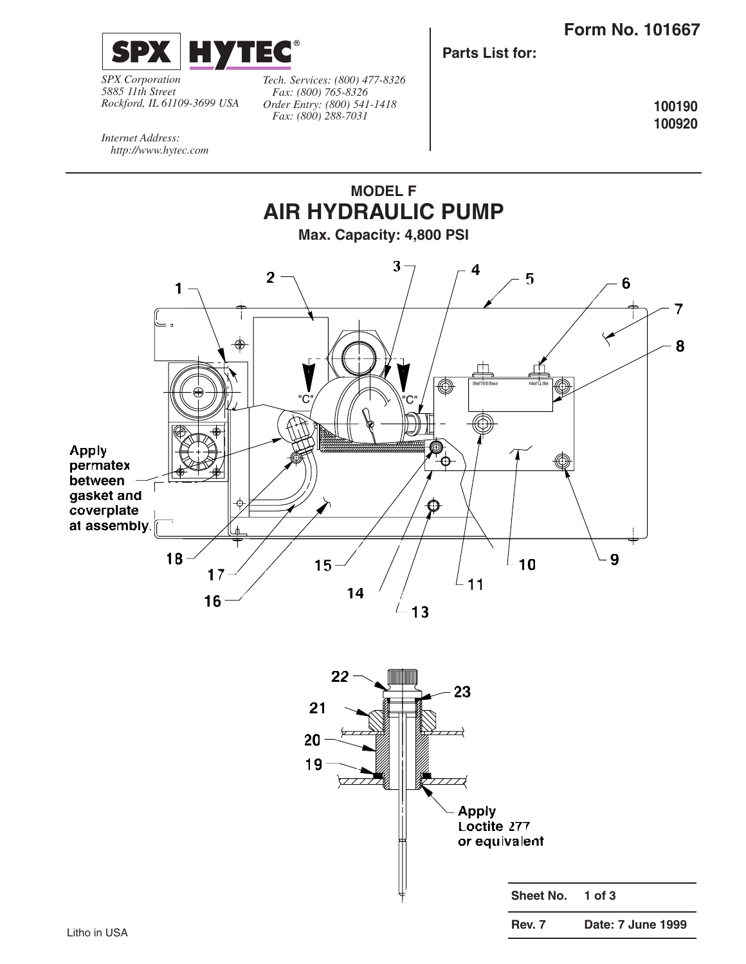

*SPX Corporation 5885 11th Street Rockford, IL 61109-3699 USA*

*Tech. Services: (800) 477-8326 Fax: (800) 765-8326 Order Entry: (800) 541-1418 Fax: (800) 288-7031*

**Parts List for:**

**100190 100920**

*Internet Address: http://www.hytec.com*

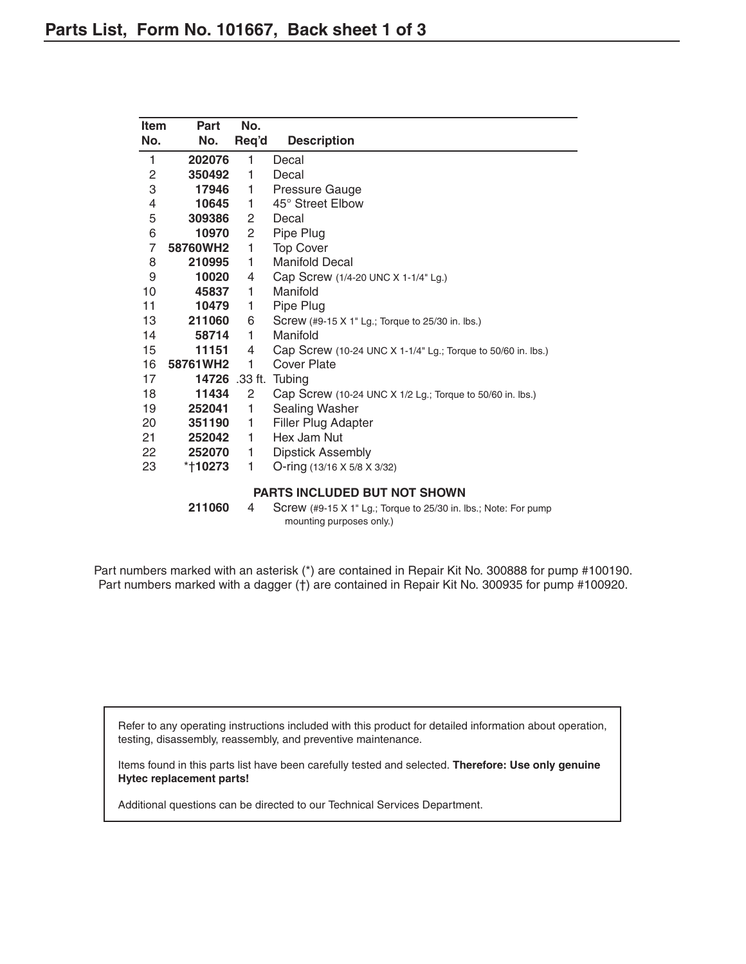| Item           | Part                                | No.                   |                                                                                             |  |  |  |  |
|----------------|-------------------------------------|-----------------------|---------------------------------------------------------------------------------------------|--|--|--|--|
| No.            | No.                                 | Req'd                 | <b>Description</b>                                                                          |  |  |  |  |
| 1              | 202076                              | 1                     | Decal                                                                                       |  |  |  |  |
| 2              | 350492                              | 1                     | Decal                                                                                       |  |  |  |  |
| 3              | 17946                               | 1.                    | Pressure Gauge                                                                              |  |  |  |  |
| 4              | 10645                               | 1                     | 45° Street Elbow                                                                            |  |  |  |  |
| 5              | 309386                              | $\mathbf{2}^{\prime}$ | Decal                                                                                       |  |  |  |  |
| 6              | 10970                               | $\overline{c}$        | Pipe Plug                                                                                   |  |  |  |  |
| $\overline{7}$ | 58760WH2                            | 1                     | <b>Top Cover</b>                                                                            |  |  |  |  |
| 8              | 210995                              | 1.                    | <b>Manifold Decal</b>                                                                       |  |  |  |  |
| 9              | 10020                               | 4                     | Cap Screw (1/4-20 UNC X 1-1/4" Lg.)                                                         |  |  |  |  |
| 10             | 45837                               | 1.                    | Manifold                                                                                    |  |  |  |  |
| 11             | 10479                               | 1                     | Pipe Plug                                                                                   |  |  |  |  |
| 13             | 211060                              | 6                     | Screw (#9-15 X 1" Lg.; Torque to 25/30 in. lbs.)                                            |  |  |  |  |
| 14             | 58714                               | 1.                    | Manifold                                                                                    |  |  |  |  |
| 15             | 11151                               | 4                     | Cap Screw (10-24 UNC X 1-1/4" Lg.; Torque to 50/60 in. lbs.)                                |  |  |  |  |
| 16             | 58761WH2                            | 1                     | <b>Cover Plate</b>                                                                          |  |  |  |  |
| 17             | 14726 .33 ft.                       |                       | Tubing                                                                                      |  |  |  |  |
| 18             | 11434                               | 2                     | Cap Screw (10-24 UNC X 1/2 Lg.; Torque to 50/60 in. lbs.)                                   |  |  |  |  |
| 19             | 252041                              | 1                     | Sealing Washer                                                                              |  |  |  |  |
| 20             | 351190                              | 1                     | Filler Plug Adapter                                                                         |  |  |  |  |
| 21             | 252042                              | 1                     | Hex Jam Nut                                                                                 |  |  |  |  |
| 22             | 252070                              | 1                     | <b>Dipstick Assembly</b>                                                                    |  |  |  |  |
| 23             | *†10273                             | 1                     | O-ring (13/16 X 5/8 X 3/32)                                                                 |  |  |  |  |
|                | <b>PARTS INCLUDED BUT NOT SHOWN</b> |                       |                                                                                             |  |  |  |  |
|                | 211060                              | 4                     | Screw (#9-15 X 1" Lg.; Torque to 25/30 in. lbs.; Note: For pump<br>mounting purposes only.) |  |  |  |  |

Part numbers marked with an asterisk (\*) are contained in Repair Kit No. 300888 for pump #100190. Part numbers marked with a dagger (†) are contained in Repair Kit No. 300935 for pump #100920.

Refer to any operating instructions included with this product for detailed information about operation, testing, disassembly, reassembly, and preventive maintenance.

Items found in this parts list have been carefully tested and selected. **Therefore: Use only genuine Hytec replacement parts!**

Additional questions can be directed to our Technical Services Department.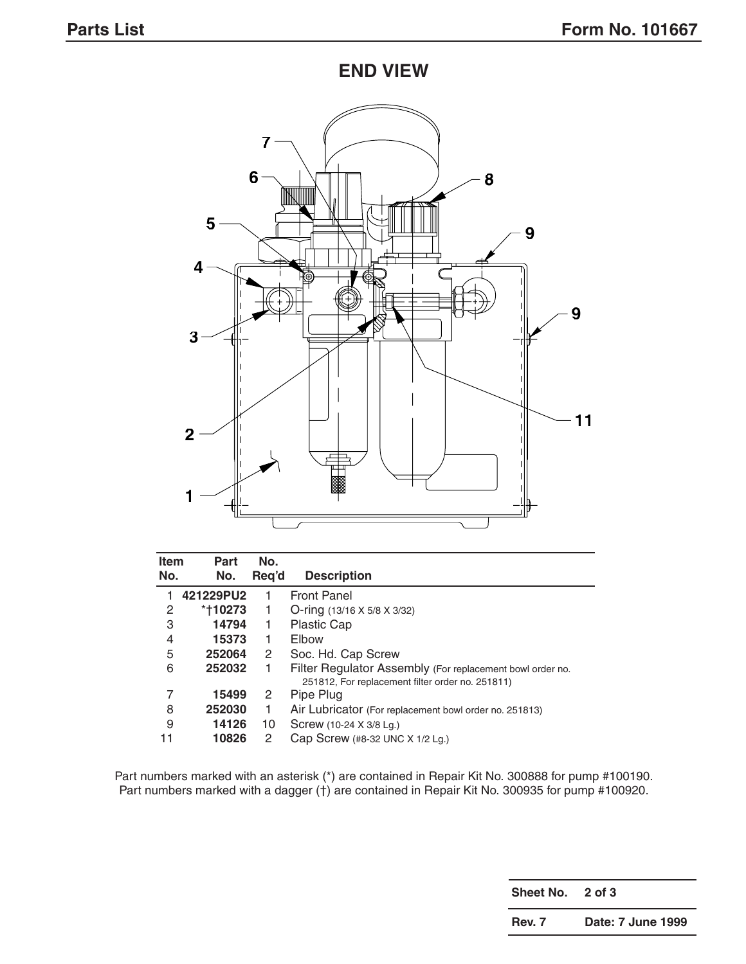**END VIEW**



| <b>Item</b> | Part      | No.                  |                                                                                                               |
|-------------|-----------|----------------------|---------------------------------------------------------------------------------------------------------------|
| No.         | No.       | Reg'd                | <b>Description</b>                                                                                            |
|             | 421229PU2 |                      | <b>Front Panel</b>                                                                                            |
| 2           | *†10273   | 1                    | O-ring $(13/16 \times 5/8 \times 3/32)$                                                                       |
| 3           | 14794     | 1                    | <b>Plastic Cap</b>                                                                                            |
| 4           | 15373     | 1                    | Elbow                                                                                                         |
| 5           | 252064    | 2                    | Soc. Hd. Cap Screw                                                                                            |
| 6           | 252032    |                      | Filter Regulator Assembly (For replacement bowl order no.<br>251812, For replacement filter order no. 251811) |
| 7           | 15499     | $\mathbf{2}^{\circ}$ | Pipe Plug                                                                                                     |
| 8           | 252030    | 1                    | Air Lubricator (For replacement bowl order no. 251813)                                                        |
| 9           | 14126     | 10                   | Screw (10-24 X 3/8 Lg.)                                                                                       |
| 11          | 10826     | 2                    | Cap Screw (#8-32 UNC X 1/2 Lg.)                                                                               |

Part numbers marked with an asterisk (\*) are contained in Repair Kit No. 300888 for pump #100190. Part numbers marked with a dagger (†) are contained in Repair Kit No. 300935 for pump #100920.

**Sheet No. 2 of 3**

**Rev. 7 Date: 7 June 1999**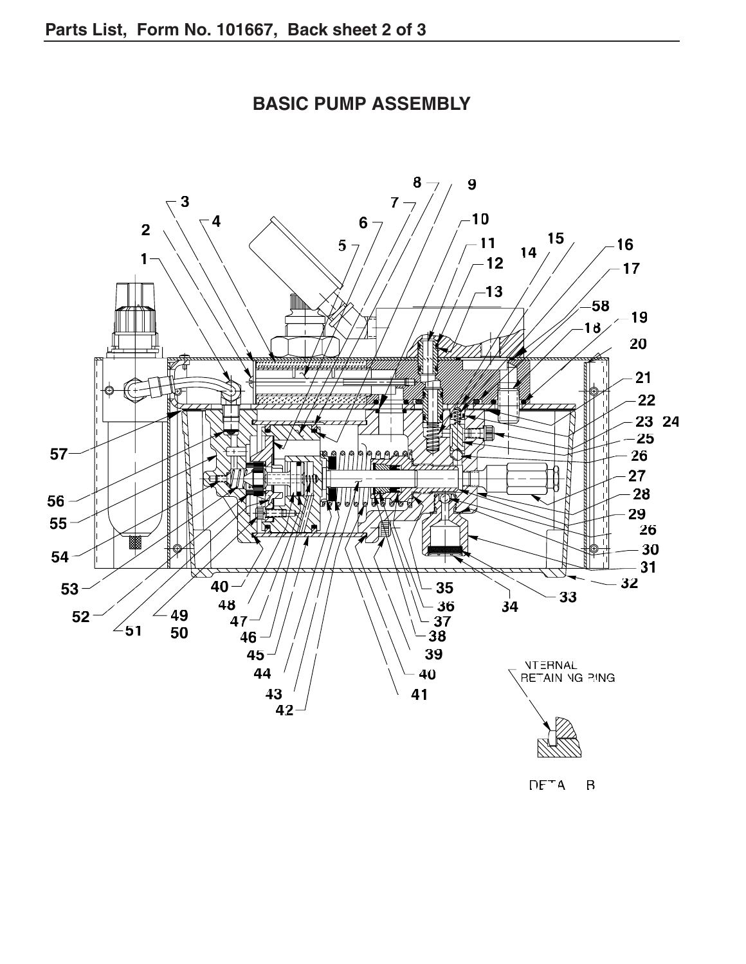

**BASIC PUMP ASSEMBLY**

 $DF^{-}A$   $B$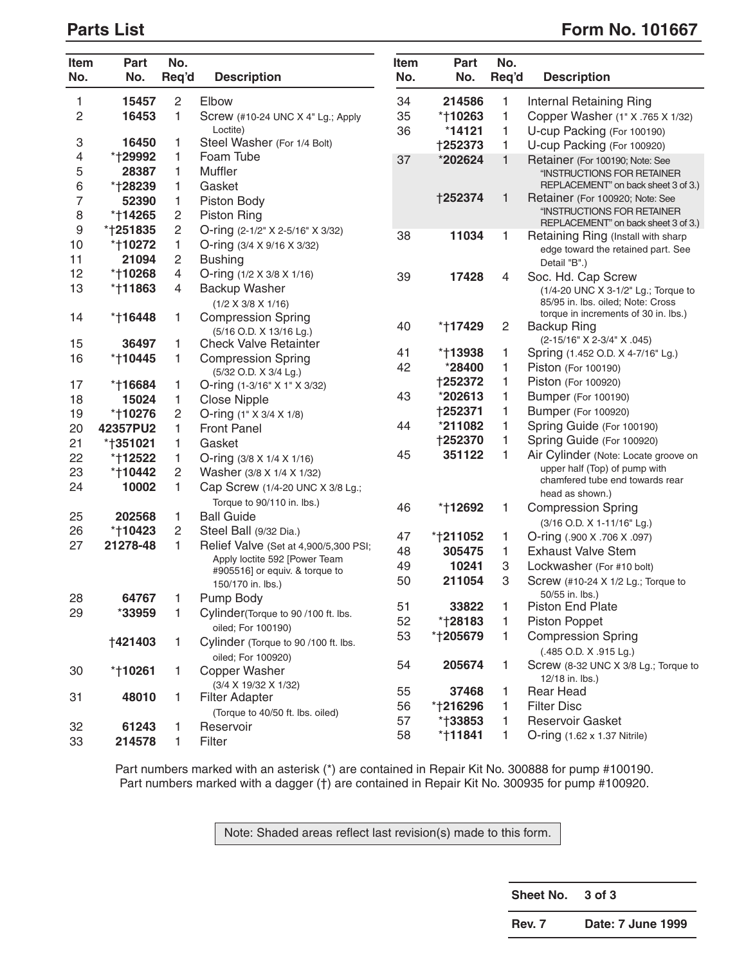## **Parts List** Form No. 101667

| Item<br>No.              | Part<br>No.    | No.<br>Req'd   | <b>Description</b>                                 | Item<br>No. | Part<br>No.    | No.<br>Req'd   | <b>Description</b>                                                |
|--------------------------|----------------|----------------|----------------------------------------------------|-------------|----------------|----------------|-------------------------------------------------------------------|
| 1                        | 15457          | $\overline{c}$ | Elbow                                              | 34          | 214586         | 1              | Internal Retaining Ring                                           |
| $\overline{c}$           | 16453          | 1              | Screw (#10-24 UNC X 4" Lg.; Apply                  | 35          | *†10263        | 1              | Copper Washer (1" X .765 X 1/32)                                  |
|                          |                |                | Loctite)                                           | 36          | $*14121$       | 1              | U-cup Packing (For 100190)                                        |
| 3                        | 16450          | 1              | Steel Washer (For 1/4 Bolt)                        |             | +252373        | 1              | U-cup Packing (For 100920)                                        |
| 4                        | *†29992        | 1              | Foam Tube                                          | 37          | *202624        | 1              | Retainer (For 100190; Note: See                                   |
| 5                        | 28387          | 1              | Muffler                                            |             |                |                | "INSTRUCTIONS FOR RETAINER                                        |
| 6                        | *†28239        | 1              | Gasket                                             |             |                |                | REPLACEMENT" on back sheet 3 of 3.)                               |
| $\overline{\mathcal{I}}$ | 52390          | 1              | Piston Body                                        |             | <b>†252374</b> | 1              | Retainer (For 100920; Note: See                                   |
| 8                        | *†14265        | 2              | <b>Piston Ring</b>                                 |             |                |                | "INSTRUCTIONS FOR RETAINER<br>REPLACEMENT" on back sheet 3 of 3.) |
| 9                        | *†251835       | 2              | O-ring (2-1/2" X 2-5/16" X 3/32)                   | 38          | 11034          | 1              | Retaining Ring (Install with sharp                                |
| 10                       | *†10272        | 1              | O-ring (3/4 X 9/16 X 3/32)                         |             |                |                | edge toward the retained part. See                                |
| 11                       | 21094          | $\overline{c}$ | <b>Bushing</b>                                     |             |                |                | Detail "B".)                                                      |
| 12                       | *†10268        | 4              | O-ring $(1/2 \times 3/8 \times 1/16)$              | 39          | 17428          | 4              | Soc. Hd. Cap Screw                                                |
| 13                       | *†11863        | 4              | Backup Washer                                      |             |                |                | (1/4-20 UNC X 3-1/2" Lg.; Torque to                               |
|                          |                |                | $(1/2 \times 3/8 \times 1/16)$                     |             |                |                | 85/95 in. Ibs. oiled; Note: Cross                                 |
| 14                       | *†16448        | 1              | <b>Compression Spring</b>                          | 40          | *†17429        | $\overline{c}$ | torque in increments of 30 in. lbs.)<br><b>Backup Ring</b>        |
|                          |                |                | (5/16 O.D. X 13/16 Lg.)                            |             |                |                | (2-15/16" X 2-3/4" X .045)                                        |
| 15                       | 36497          | 1              | <b>Check Valve Retainter</b>                       | 41          | *†13938        | 1              | Spring (1.452 O.D. X 4-7/16" Lg.)                                 |
| 16                       | *†10445        | 1              | <b>Compression Spring</b><br>(5/32 O.D. X 3/4 Lg.) | 42          | *28400         | 1              | Piston (For 100190)                                               |
| 17                       | *†16684        | 1              | O-ring (1-3/16" X 1" X 3/32)                       |             | <b>†252372</b> | 1              | Piston (For 100920)                                               |
| 18                       | 15024          | 1              | <b>Close Nipple</b>                                | 43          | *202613        | 1              | <b>Bumper (For 100190)</b>                                        |
| 19                       | *†10276        | 2              | O-ring (1" X 3/4 X 1/8)                            |             | +252371        | 1              | Bumper (For 100920)                                               |
| 20                       | 42357PU2       | 1              | <b>Front Panel</b>                                 | 44          | *211082        | 1              | Spring Guide (For 100190)                                         |
| 21                       | *†351021       | 1              | Gasket                                             |             | +252370        | 1              | Spring Guide (For 100920)                                         |
| 22                       | *†12522        | 1              | O-ring $(3/8 \times 1/4 \times 1/16)$              | 45          | 351122         | 1              | Air Cylinder (Note: Locate groove on                              |
| 23                       | *†10442        | $\overline{c}$ | Washer (3/8 X 1/4 X 1/32)                          |             |                |                | upper half (Top) of pump with                                     |
| 24                       | 10002          | 1              | Cap Screw (1/4-20 UNC X 3/8 Lg.;                   |             |                |                | chamfered tube end towards rear                                   |
|                          |                |                | Torque to 90/110 in. lbs.)                         |             |                |                | head as shown.)                                                   |
| 25                       | 202568         | 1              | <b>Ball Guide</b>                                  | 46          | *†12692        | 1              | <b>Compression Spring</b>                                         |
| 26                       | *†10423        | 2              | Steel Ball (9/32 Dia.)                             |             |                |                | (3/16 O.D. X 1-11/16" Lg.)                                        |
| 27                       | 21278-48       | 1              | Relief Valve (Set at 4,900/5,300 PSI;              | 47          | *†211052       | 1              | O-ring (.900 X .706 X .097)                                       |
|                          |                |                | Apply loctite 592 [Power Team                      | 48          | 305475         | 1              | <b>Exhaust Valve Stem</b>                                         |
|                          |                |                | #905516] or equiv. & torque to                     | 49          | 10241          | 3              | Lockwasher (For #10 bolt)                                         |
|                          |                |                | 150/170 in. lbs.)                                  | 50          | 211054         | 3              | Screw (#10-24 X 1/2 Lg.; Torque to<br>50/55 in. lbs.)             |
| 28                       | 64767          | 1              | Pump Body                                          | 51          | 33822          | 1              | <b>Piston End Plate</b>                                           |
| 29                       | *33959         | 1.             | Cylinder(Torque to 90/100 ft. lbs.                 | 52          | *†28183        | 1              | Piston Poppet                                                     |
|                          |                |                | oiled; For 100190)                                 | 53          | *†205679       | 1              | <b>Compression Spring</b>                                         |
|                          | <b>†421403</b> | 1.             | Cylinder (Torque to 90/100 ft. lbs.                |             |                |                | (.485 O.D. X .915 Lg.)                                            |
|                          |                |                | oiled; For 100920)                                 | 54          | 205674         | 1              | Screw (8-32 UNC X 3/8 Lg.; Torque to                              |
| 30                       | *†10261        | 1.             | <b>Copper Washer</b>                               |             |                |                | 12/18 in. lbs.)                                                   |
| 31                       | 48010          | 1.             | (3/4 X 19/32 X 1/32)<br><b>Filter Adapter</b>      | 55          | 37468          | 1              | <b>Rear Head</b>                                                  |
|                          |                |                | (Torque to 40/50 ft. lbs. oiled)                   | 56          | *†216296       | 1              | <b>Filter Disc</b>                                                |
| 32                       | 61243          | 1              | Reservoir                                          | 57          | *†33853        | 1              | Reservoir Gasket                                                  |
| 33                       | 214578         | 1              | Filter                                             | 58          | *†11841        | 1              | O-ring (1.62 x 1.37 Nitrile)                                      |
|                          |                |                |                                                    |             |                |                |                                                                   |

Part numbers marked with an asterisk (\*) are contained in Repair Kit No. 300888 for pump #100190. Part numbers marked with a dagger (†) are contained in Repair Kit No. 300935 for pump #100920.

Note: Shaded areas reflect last revision(s) made to this form.

**Sheet No. 3 of 3**

**Rev. 7 Date: 7 June 1999**